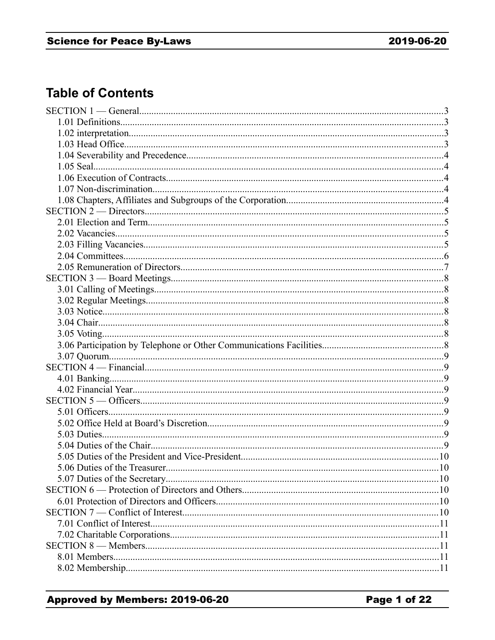# **Table of Contents**

| 5.06 Duties of the Treasurer | 10          |
|------------------------------|-------------|
|                              |             |
|                              |             |
|                              |             |
|                              |             |
|                              |             |
|                              | $\ldots$ 11 |
|                              |             |
|                              |             |
|                              | 11          |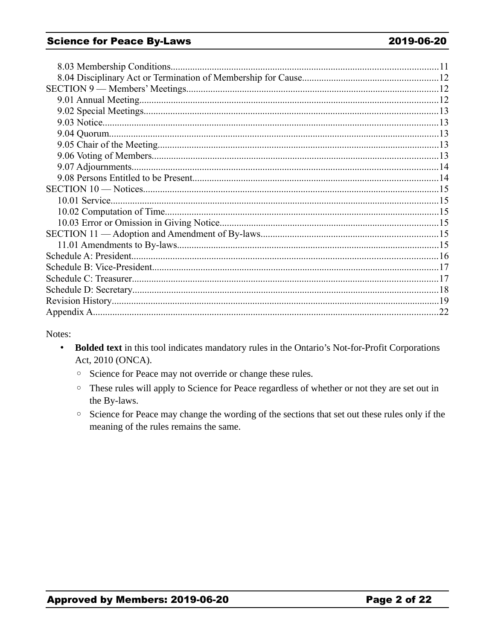#### **Science for Peace By-Laws**

Notes:

- Bolded text in this tool indicates mandatory rules in the Ontario's Not-for-Profit Corporations Act, 2010 (ONCA).
	- <sup>o</sup> Science for Peace may not override or change these rules.
	- These rules will apply to Science for Peace regardless of whether or not they are set out in the By-laws.
	- Science for Peace may change the wording of the sections that set out these rules only if the meaning of the rules remains the same.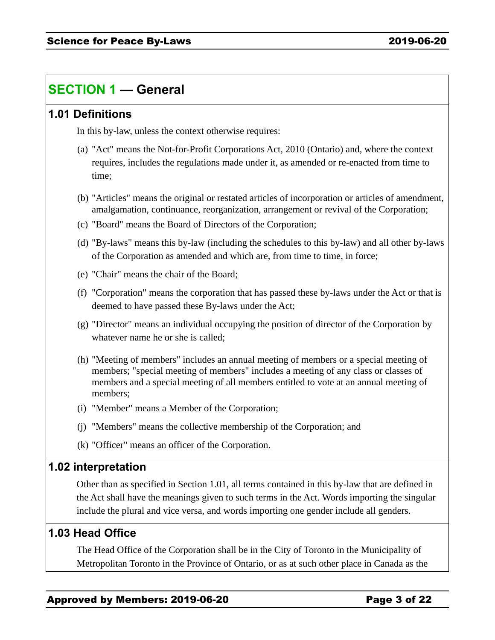# **SECTION 1 — General**

### **1.01 Definitions**

In this by-law, unless the context otherwise requires:

- (a) "Act" means the Not-for-Profit Corporations Act, 2010 (Ontario) and, where the context requires, includes the regulations made under it, as amended or re-enacted from time to time;
- (b) "Articles" means the original or restated articles of incorporation or articles of amendment, amalgamation, continuance, reorganization, arrangement or revival of the Corporation;
- (c) "Board" means the Board of Directors of the Corporation;
- (d) "By-laws" means this by-law (including the schedules to this by-law) and all other by-laws of the Corporation as amended and which are, from time to time, in force;
- (e) "Chair" means the chair of the Board;
- (f) "Corporation" means the corporation that has passed these by-laws under the Act or that is deemed to have passed these By-laws under the Act;
- (g) "Director" means an individual occupying the position of director of the Corporation by whatever name he or she is called;
- (h) "Meeting of members" includes an annual meeting of members or a special meeting of members; "special meeting of members" includes a meeting of any class or classes of members and a special meeting of all members entitled to vote at an annual meeting of members;
- (i) "Member" means a Member of the Corporation;
- (j) "Members" means the collective membership of the Corporation; and
- (k) "Officer" means an officer of the Corporation.

### **1.02 interpretation**

Other than as specified in Section 1.01, all terms contained in this by-law that are defined in the Act shall have the meanings given to such terms in the Act. Words importing the singular include the plural and vice versa, and words importing one gender include all genders.

### **1.03 Head Office**

The Head Office of the Corporation shall be in the City of Toronto in the Municipality of Metropolitan Toronto in the Province of Ontario, or as at such other place in Canada as the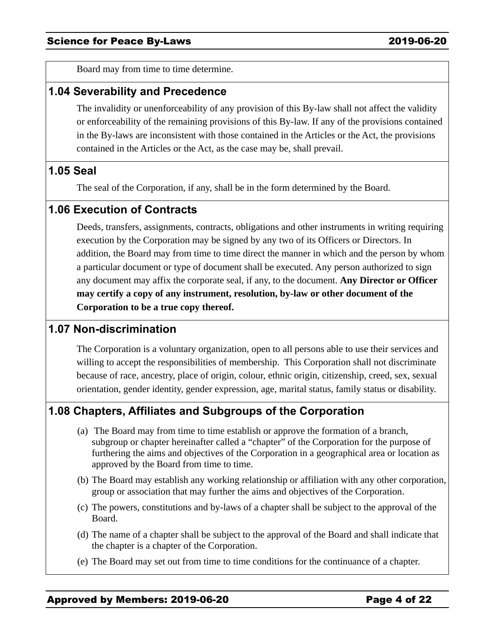Board may from time to time determine.

#### **1.04 Severability and Precedence**

The invalidity or unenforceability of any provision of this By-law shall not affect the validity or enforceability of the remaining provisions of this By-law. If any of the provisions contained in the By-laws are inconsistent with those contained in the Articles or the Act, the provisions contained in the Articles or the Act, as the case may be, shall prevail.

### **1.05 Seal**

The seal of the Corporation, if any, shall be in the form determined by the Board.

### **1.06 Execution of Contracts**

Deeds, transfers, assignments, contracts, obligations and other instruments in writing requiring execution by the Corporation may be signed by any two of its Officers or Directors. In addition, the Board may from time to time direct the manner in which and the person by whom a particular document or type of document shall be executed. Any person authorized to sign any document may affix the corporate seal, if any, to the document. **Any Director or Officer may certify a copy of any instrument, resolution, by-law or other document of the Corporation to be a true copy thereof.** 

### **1.07 Non-discrimination**

The Corporation is a voluntary organization, open to all persons able to use their services and willing to accept the responsibilities of membership. This Corporation shall not discriminate because of race, ancestry, place of origin, colour, ethnic origin, citizenship, creed, sex, sexual orientation, gender identity, gender expression, age, marital status, family status or disability.

## **1.08 Chapters, Affiliates and Subgroups of the Corporation**

- (a) The Board may from time to time establish or approve the formation of a branch, subgroup or chapter hereinafter called a "chapter" of the Corporation for the purpose of furthering the aims and objectives of the Corporation in a geographical area or location as approved by the Board from time to time.
- (b) The Board may establish any working relationship or affiliation with any other corporation, group or association that may further the aims and objectives of the Corporation.
- (c) The powers, constitutions and by-laws of a chapter shall be subject to the approval of the Board.
- (d) The name of a chapter shall be subject to the approval of the Board and shall indicate that the chapter is a chapter of the Corporation.
- (e) The Board may set out from time to time conditions for the continuance of a chapter.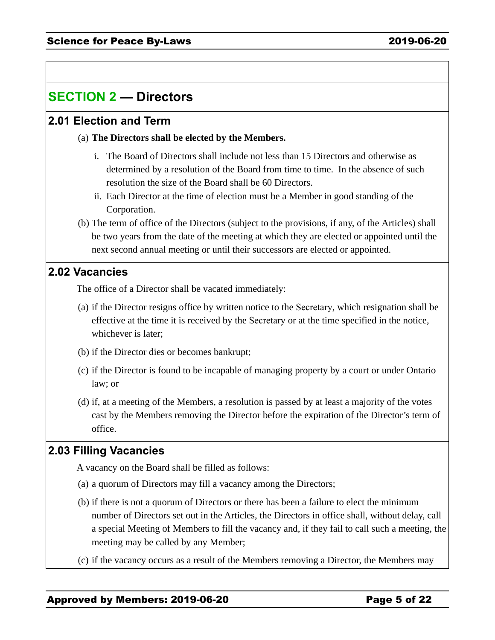# **SECTION 2 — Directors**

### **2.01 Election and Term**

#### (a) **The Directors shall be elected by the Members.**

- i. The Board of Directors shall include not less than 15 Directors and otherwise as determined by a resolution of the Board from time to time. In the absence of such resolution the size of the Board shall be 60 Directors.
- ii. Each Director at the time of election must be a Member in good standing of the Corporation.
- (b) The term of office of the Directors (subject to the provisions, if any, of the Articles) shall be two years from the date of the meeting at which they are elected or appointed until the next second annual meeting or until their successors are elected or appointed.

#### **2.02 Vacancies**

The office of a Director shall be vacated immediately:

- (a) if the Director resigns office by written notice to the Secretary, which resignation shall be effective at the time it is received by the Secretary or at the time specified in the notice, whichever is later;
- (b) if the Director dies or becomes bankrupt;
- (c) if the Director is found to be incapable of managing property by a court or under Ontario law; or
- (d) if, at a meeting of the Members, a resolution is passed by at least a majority of the votes cast by the Members removing the Director before the expiration of the Director's term of office.

## **2.03 Filling Vacancies**

A vacancy on the Board shall be filled as follows:

- (a) a quorum of Directors may fill a vacancy among the Directors;
- (b) if there is not a quorum of Directors or there has been a failure to elect the minimum number of Directors set out in the Articles, the Directors in office shall, without delay, call a special Meeting of Members to fill the vacancy and, if they fail to call such a meeting, the meeting may be called by any Member;
- (c) if the vacancy occurs as a result of the Members removing a Director, the Members may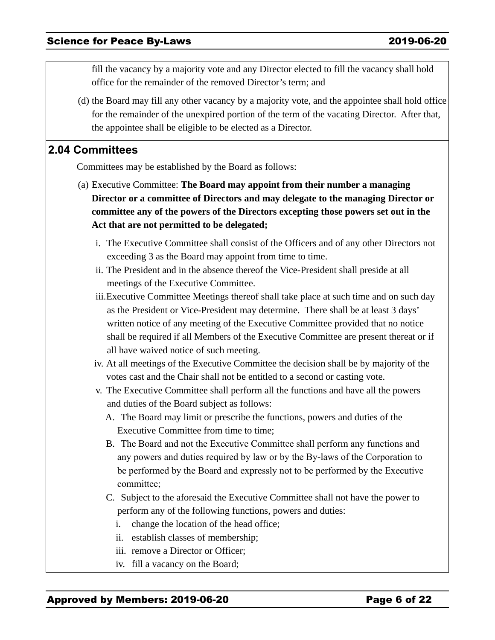fill the vacancy by a majority vote and any Director elected to fill the vacancy shall hold office for the remainder of the removed Director's term; and

(d) the Board may fill any other vacancy by a majority vote, and the appointee shall hold office for the remainder of the unexpired portion of the term of the vacating Director. After that, the appointee shall be eligible to be elected as a Director.

#### **2.04 Committees**

Committees may be established by the Board as follows:

- (a) Executive Committee: **The Board may appoint from their number a managing Director or a committee of Directors and may delegate to the managing Director or committee any of the powers of the Directors excepting those powers set out in the Act that are not permitted to be delegated;** 
	- i. The Executive Committee shall consist of the Officers and of any other Directors not exceeding 3 as the Board may appoint from time to time.
	- ii. The President and in the absence thereof the Vice-President shall preside at all meetings of the Executive Committee.
	- iii.Executive Committee Meetings thereof shall take place at such time and on such day as the President or Vice-President may determine. There shall be at least 3 days' written notice of any meeting of the Executive Committee provided that no notice shall be required if all Members of the Executive Committee are present thereat or if all have waived notice of such meeting.
	- iv. At all meetings of the Executive Committee the decision shall be by majority of the votes cast and the Chair shall not be entitled to a second or casting vote.
	- v. The Executive Committee shall perform all the functions and have all the powers and duties of the Board subject as follows:
		- A. The Board may limit or prescribe the functions, powers and duties of the Executive Committee from time to time;
		- B. The Board and not the Executive Committee shall perform any functions and any powers and duties required by law or by the By-laws of the Corporation to be performed by the Board and expressly not to be performed by the Executive committee;
		- C. Subject to the aforesaid the Executive Committee shall not have the power to perform any of the following functions, powers and duties:
			- i. change the location of the head office;
			- ii. establish classes of membership;
			- iii. remove a Director or Officer;
			- iv. fill a vacancy on the Board;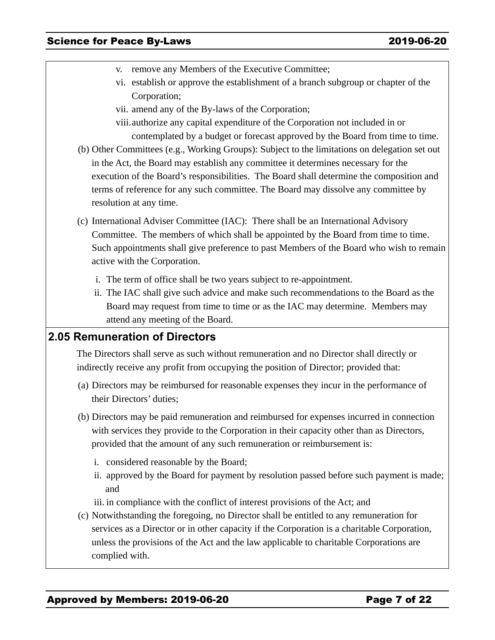- v. remove any Members of the Executive Committee;
- vi. establish or approve the establishment of a branch subgroup or chapter of the Corporation;
- vii. amend any of the By-laws of the Corporation;
- viii.authorize any capital expenditure of the Corporation not included in or contemplated by a budget or forecast approved by the Board from time to time.
- (b) Other Committees (e.g., Working Groups): Subject to the limitations on delegation set out in the Act, the Board may establish any committee it determines necessary for the execution of the Board's responsibilities. The Board shall determine the composition and terms of reference for any such committee. The Board may dissolve any committee by resolution at any time.
- (c) International Adviser Committee (IAC): There shall be an International Advisory Committee. The members of which shall be appointed by the Board from time to time. Such appointments shall give preference to past Members of the Board who wish to remain active with the Corporation.
	- i. The term of office shall be two years subject to re-appointment.
	- ii. The IAC shall give such advice and make such recommendations to the Board as the Board may request from time to time or as the IAC may determine. Members may attend any meeting of the Board.

## **2.05 Remuneration of Directors**

The Directors shall serve as such without remuneration and no Director shall directly or indirectly receive any profit from occupying the position of Director; provided that:

- (a) Directors may be reimbursed for reasonable expenses they incur in the performance of their Directors' duties;
- (b) Directors may be paid remuneration and reimbursed for expenses incurred in connection with services they provide to the Corporation in their capacity other than as Directors, provided that the amount of any such remuneration or reimbursement is:
	- i. considered reasonable by the Board;
	- ii. approved by the Board for payment by resolution passed before such payment is made; and
	- iii. in compliance with the conflict of interest provisions of the Act; and
- (c) Notwithstanding the foregoing, no Director shall be entitled to any remuneration for services as a Director or in other capacity if the Corporation is a charitable Corporation, unless the provisions of the Act and the law applicable to charitable Corporations are complied with.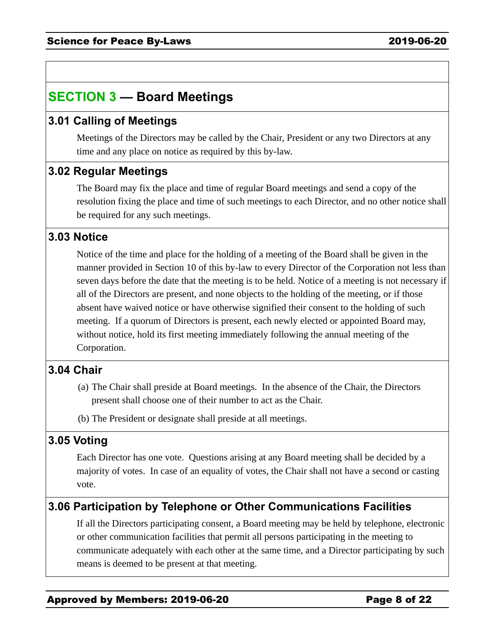# **SECTION 3 — Board Meetings**

## **3.01 Calling of Meetings**

Meetings of the Directors may be called by the Chair, President or any two Directors at any time and any place on notice as required by this by-law.

## **3.02 Regular Meetings**

The Board may fix the place and time of regular Board meetings and send a copy of the resolution fixing the place and time of such meetings to each Director, and no other notice shall be required for any such meetings.

## **3.03 Notice**

Notice of the time and place for the holding of a meeting of the Board shall be given in the manner provided in Section 10 of this by-law to every Director of the Corporation not less than seven days before the date that the meeting is to be held. Notice of a meeting is not necessary if all of the Directors are present, and none objects to the holding of the meeting, or if those absent have waived notice or have otherwise signified their consent to the holding of such meeting. If a quorum of Directors is present, each newly elected or appointed Board may, without notice, hold its first meeting immediately following the annual meeting of the Corporation.

## **3.04 Chair**

- (a) The Chair shall preside at Board meetings. In the absence of the Chair, the Directors present shall choose one of their number to act as the Chair.
- (b) The President or designate shall preside at all meetings.

## **3.05 Voting**

Each Director has one vote. Questions arising at any Board meeting shall be decided by a majority of votes. In case of an equality of votes, the Chair shall not have a second or casting vote.

## **3.06 Participation by Telephone or Other Communications Facilities**

If all the Directors participating consent, a Board meeting may be held by telephone, electronic or other communication facilities that permit all persons participating in the meeting to communicate adequately with each other at the same time, and a Director participating by such means is deemed to be present at that meeting.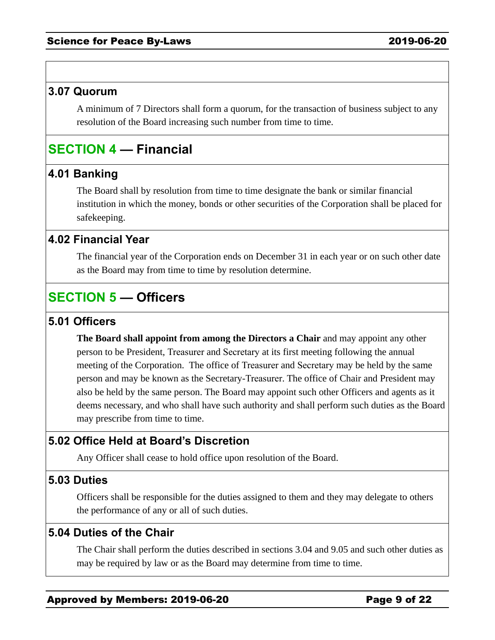#### **3.07 Quorum**

A minimum of 7 Directors shall form a quorum, for the transaction of business subject to any resolution of the Board increasing such number from time to time.

# **SECTION 4 — Financial**

## **4.01 Banking**

The Board shall by resolution from time to time designate the bank or similar financial institution in which the money, bonds or other securities of the Corporation shall be placed for safekeeping.

## **4.02 Financial Year**

The financial year of the Corporation ends on December 31 in each year or on such other date as the Board may from time to time by resolution determine.

## **SECTION 5 — Officers**

### **5.01 Officers**

**The Board shall appoint from among the Directors a Chair** and may appoint any other person to be President, Treasurer and Secretary at its first meeting following the annual meeting of the Corporation. The office of Treasurer and Secretary may be held by the same person and may be known as the Secretary-Treasurer. The office of Chair and President may also be held by the same person. The Board may appoint such other Officers and agents as it deems necessary, and who shall have such authority and shall perform such duties as the Board may prescribe from time to time.

## **5.02 Office Held at Board's Discretion**

Any Officer shall cease to hold office upon resolution of the Board.

### **5.03 Duties**

Officers shall be responsible for the duties assigned to them and they may delegate to others the performance of any or all of such duties.

### **5.04 Duties of the Chair**

The Chair shall perform the duties described in sections 3.04 and 9.05 and such other duties as may be required by law or as the Board may determine from time to time.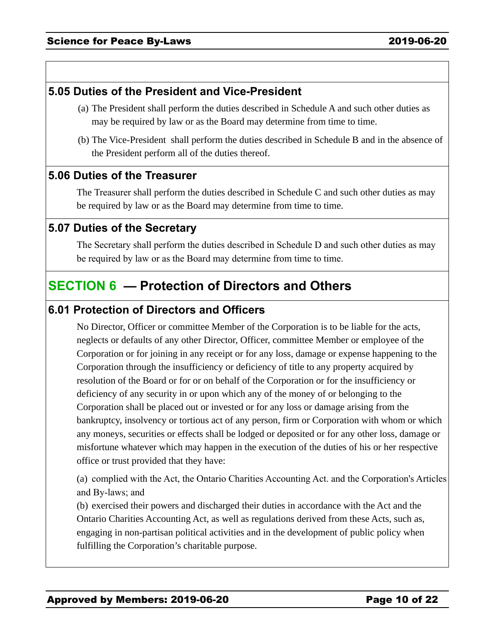## **5.05 Duties of the President and Vice-President**

- (a) The President shall perform the duties described in Schedule A and such other duties as may be required by law or as the Board may determine from time to time.
- (b) The Vice-President shall perform the duties described in Schedule B and in the absence of the President perform all of the duties thereof.

#### **5.06 Duties of the Treasurer**

The Treasurer shall perform the duties described in Schedule C and such other duties as may be required by law or as the Board may determine from time to time.

### **5.07 Duties of the Secretary**

The Secretary shall perform the duties described in Schedule D and such other duties as may be required by law or as the Board may determine from time to time.

## **SECTION 6 — Protection of Directors and Others**

## **6.01 Protection of Directors and Officers**

No Director, Officer or committee Member of the Corporation is to be liable for the acts, neglects or defaults of any other Director, Officer, committee Member or employee of the Corporation or for joining in any receipt or for any loss, damage or expense happening to the Corporation through the insufficiency or deficiency of title to any property acquired by resolution of the Board or for or on behalf of the Corporation or for the insufficiency or deficiency of any security in or upon which any of the money of or belonging to the Corporation shall be placed out or invested or for any loss or damage arising from the bankruptcy, insolvency or tortious act of any person, firm or Corporation with whom or which any moneys, securities or effects shall be lodged or deposited or for any other loss, damage or misfortune whatever which may happen in the execution of the duties of his or her respective office or trust provided that they have:

(a) complied with the Act, the Ontario Charities Accounting Act. and the Corporation's Articles and By-laws; and

(b) exercised their powers and discharged their duties in accordance with the Act and the Ontario Charities Accounting Act, as well as regulations derived from these Acts, such as, engaging in non-partisan political activities and in the development of public policy when fulfilling the Corporation's charitable purpose.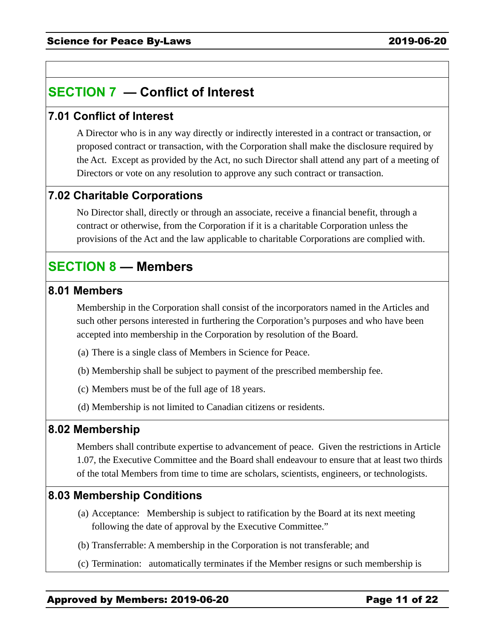# **SECTION 7 — Conflict of Interest**

## **7.01 Conflict of Interest**

A Director who is in any way directly or indirectly interested in a contract or transaction, or proposed contract or transaction, with the Corporation shall make the disclosure required by the Act. Except as provided by the Act, no such Director shall attend any part of a meeting of Directors or vote on any resolution to approve any such contract or transaction.

## **7.02 Charitable Corporations**

No Director shall, directly or through an associate, receive a financial benefit, through a contract or otherwise, from the Corporation if it is a charitable Corporation unless the provisions of the Act and the law applicable to charitable Corporations are complied with.

## **SECTION 8 — Members**

#### **8.01 Members**

Membership in the Corporation shall consist of the incorporators named in the Articles and such other persons interested in furthering the Corporation's purposes and who have been accepted into membership in the Corporation by resolution of the Board.

- (a) There is a single class of Members in Science for Peace.
- (b) Membership shall be subject to payment of the prescribed membership fee.
- (c) Members must be of the full age of 18 years.
- (d) Membership is not limited to Canadian citizens or residents.

#### **8.02 Membership**

Members shall contribute expertise to advancement of peace. Given the restrictions in Article 1.07, the Executive Committee and the Board shall endeavour to ensure that at least two thirds of the total Members from time to time are scholars, scientists, engineers, or technologists.

### **8.03 Membership Conditions**

- (a) Acceptance: Membership is subject to ratification by the Board at its next meeting following the date of approval by the Executive Committee."
- (b) Transferrable: A membership in the Corporation is not transferable; and
- (c) Termination: automatically terminates if the Member resigns or such membership is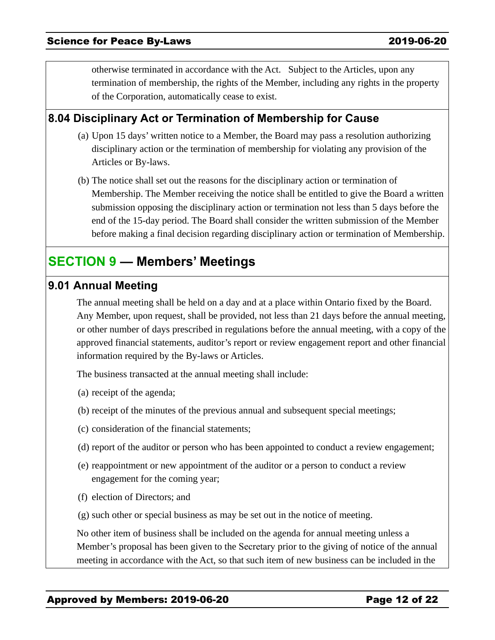otherwise terminated in accordance with the Act. Subject to the Articles, upon any termination of membership, the rights of the Member, including any rights in the property of the Corporation, automatically cease to exist.

## **8.04 Disciplinary Act or Termination of Membership for Cause**

- (a) Upon 15 days' written notice to a Member, the Board may pass a resolution authorizing disciplinary action or the termination of membership for violating any provision of the Articles or By-laws.
- (b) The notice shall set out the reasons for the disciplinary action or termination of Membership. The Member receiving the notice shall be entitled to give the Board a written submission opposing the disciplinary action or termination not less than 5 days before the end of the 15-day period. The Board shall consider the written submission of the Member before making a final decision regarding disciplinary action or termination of Membership.

## **SECTION 9 — Members' Meetings**

#### **9.01 Annual Meeting**

The annual meeting shall be held on a day and at a place within Ontario fixed by the Board. Any Member, upon request, shall be provided, not less than 21 days before the annual meeting, or other number of days prescribed in regulations before the annual meeting, with a copy of the approved financial statements, auditor's report or review engagement report and other financial information required by the By-laws or Articles.

The business transacted at the annual meeting shall include:

- (a) receipt of the agenda;
- (b) receipt of the minutes of the previous annual and subsequent special meetings;
- (c) consideration of the financial statements;
- (d) report of the auditor or person who has been appointed to conduct a review engagement;
- (e) reappointment or new appointment of the auditor or a person to conduct a review engagement for the coming year;
- (f) election of Directors; and
- (g) such other or special business as may be set out in the notice of meeting.

No other item of business shall be included on the agenda for annual meeting unless a Member's proposal has been given to the Secretary prior to the giving of notice of the annual meeting in accordance with the Act, so that such item of new business can be included in the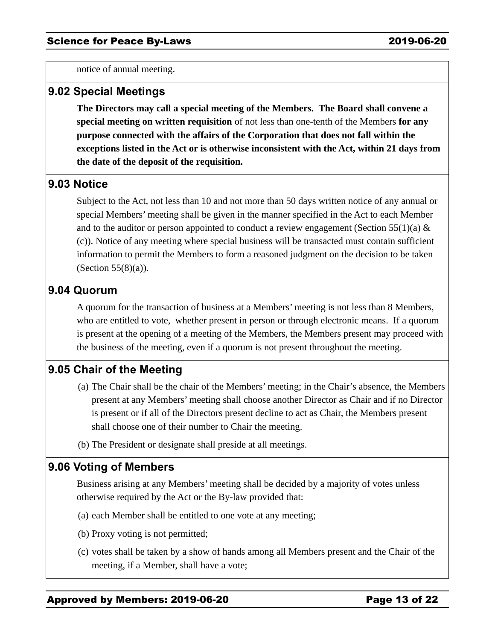notice of annual meeting.

#### **9.02 Special Meetings**

**The Directors may call a special meeting of the Members. The Board shall convene a special meeting on written requisition** of not less than one-tenth of the Members **for any purpose connected with the affairs of the Corporation that does not fall within the exceptions listed in the Act or is otherwise inconsistent with the Act, within 21 days from the date of the deposit of the requisition.**

### **9.03 Notice**

Subject to the Act, not less than 10 and not more than 50 days written notice of any annual or special Members' meeting shall be given in the manner specified in the Act to each Member and to the auditor or person appointed to conduct a review engagement (Section 55(1)(a)  $\&$ (c)). Notice of any meeting where special business will be transacted must contain sufficient information to permit the Members to form a reasoned judgment on the decision to be taken (Section 55(8)(a)).

#### **9.04 Quorum**

A quorum for the transaction of business at a Members' meeting is not less than 8 Members, who are entitled to vote, whether present in person or through electronic means. If a quorum is present at the opening of a meeting of the Members, the Members present may proceed with the business of the meeting, even if a quorum is not present throughout the meeting.

## **9.05 Chair of the Meeting**

- (a) The Chair shall be the chair of the Members' meeting; in the Chair's absence, the Members present at any Members' meeting shall choose another Director as Chair and if no Director is present or if all of the Directors present decline to act as Chair, the Members present shall choose one of their number to Chair the meeting.
- (b) The President or designate shall preside at all meetings.

#### **9.06 Voting of Members**

Business arising at any Members' meeting shall be decided by a majority of votes unless otherwise required by the Act or the By-law provided that:

- (a) each Member shall be entitled to one vote at any meeting;
- (b) Proxy voting is not permitted;
- (c) votes shall be taken by a show of hands among all Members present and the Chair of the meeting, if a Member, shall have a vote;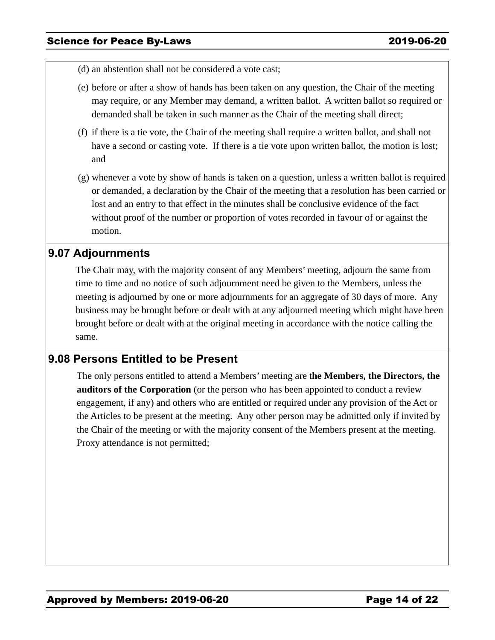- (d) an abstention shall not be considered a vote cast;
- (e) before or after a show of hands has been taken on any question, the Chair of the meeting may require, or any Member may demand, a written ballot. A written ballot so required or demanded shall be taken in such manner as the Chair of the meeting shall direct;
- (f) if there is a tie vote, the Chair of the meeting shall require a written ballot, and shall not have a second or casting vote. If there is a tie vote upon written ballot, the motion is lost; and
- (g) whenever a vote by show of hands is taken on a question, unless a written ballot is required or demanded, a declaration by the Chair of the meeting that a resolution has been carried or lost and an entry to that effect in the minutes shall be conclusive evidence of the fact without proof of the number or proportion of votes recorded in favour of or against the motion.

### **9.07 Adjournments**

The Chair may, with the majority consent of any Members' meeting, adjourn the same from time to time and no notice of such adjournment need be given to the Members, unless the meeting is adjourned by one or more adjournments for an aggregate of 30 days of more. Any business may be brought before or dealt with at any adjourned meeting which might have been brought before or dealt with at the original meeting in accordance with the notice calling the same.

### **9.08 Persons Entitled to be Present**

The only persons entitled to attend a Members' meeting are t**he Members, the Directors, the auditors of the Corporation** (or the person who has been appointed to conduct a review engagement, if any) and others who are entitled or required under any provision of the Act or the Articles to be present at the meeting. Any other person may be admitted only if invited by the Chair of the meeting or with the majority consent of the Members present at the meeting. Proxy attendance is not permitted;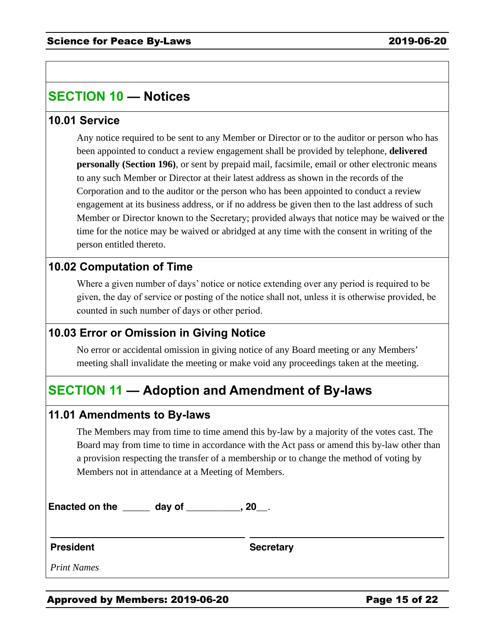# **SECTION 10 — Notices**

### **10.01 Service**

Any notice required to be sent to any Member or Director or to the auditor or person who has been appointed to conduct a review engagement shall be provided by telephone, **delivered personally (Section 196)**, or sent by prepaid mail, facsimile, email or other electronic means to any such Member or Director at their latest address as shown in the records of the Corporation and to the auditor or the person who has been appointed to conduct a review engagement at its business address, or if no address be given then to the last address of such Member or Director known to the Secretary; provided always that notice may be waived or the time for the notice may be waived or abridged at any time with the consent in writing of the person entitled thereto.

## **10.02 Computation of Time**

Where a given number of days' notice or notice extending over any period is required to be given, the day of service or posting of the notice shall not, unless it is otherwise provided, be counted in such number of days or other period.

## **10.03 Error or Omission in Giving Notice**

No error or accidental omission in giving notice of any Board meeting or any Members' meeting shall invalidate the meeting or make void any proceedings taken at the meeting.

# **SECTION 11 — Adoption and Amendment of By-laws**

#### **11.01 Amendments to By-laws**

The Members may from time to time amend this by-law by a majority of the votes cast. The Board may from time to time in accordance with the Act pass or amend this by-law other than a provision respecting the transfer of a membership or to change the method of voting by Members not in attendance at a Meeting of Members.

**Enacted on the \_\_\_\_\_ day of \_\_\_\_\_\_\_\_\_\_, 20\_\_**.

**President Secretary**

*Print Names*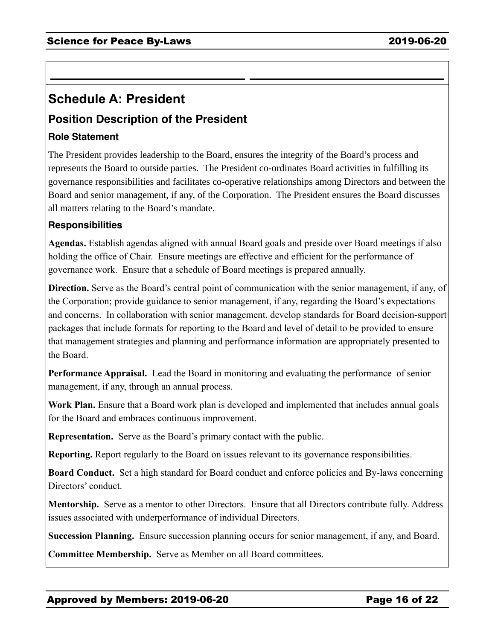## **Schedule A: President**

## **Position Description of the President**

#### **Role Statement**

The President provides leadership to the Board, ensures the integrity of the Board's process and represents the Board to outside parties. The President co-ordinates Board activities in fulfilling its governance responsibilities and facilitates co-operative relationships among Directors and between the Board and senior management, if any, of the Corporation. The President ensures the Board discusses all matters relating to the Board's mandate.

#### **Responsibilities**

**Agendas.** Establish agendas aligned with annual Board goals and preside over Board meetings if also holding the office of Chair. Ensure meetings are effective and efficient for the performance of governance work. Ensure that a schedule of Board meetings is prepared annually.

**Direction.** Serve as the Board's central point of communication with the senior management, if any, of the Corporation; provide guidance to senior management, if any, regarding the Board's expectations and concerns. In collaboration with senior management, develop standards for Board decision-support packages that include formats for reporting to the Board and level of detail to be provided to ensure that management strategies and planning and performance information are appropriately presented to the Board.

**Performance Appraisal.** Lead the Board in monitoring and evaluating the performance of senior management, if any, through an annual process.

**Work Plan.** Ensure that a Board work plan is developed and implemented that includes annual goals for the Board and embraces continuous improvement.

**Representation.** Serve as the Board's primary contact with the public.

**Reporting.** Report regularly to the Board on issues relevant to its governance responsibilities.

**Board Conduct.** Set a high standard for Board conduct and enforce policies and By-laws concerning Directors' conduct.

**Mentorship.** Serve as a mentor to other Directors. Ensure that all Directors contribute fully. Address issues associated with underperformance of individual Directors.

**Succession Planning.** Ensure succession planning occurs for senior management, if any, and Board.

**Committee Membership.** Serve as Member on all Board committees.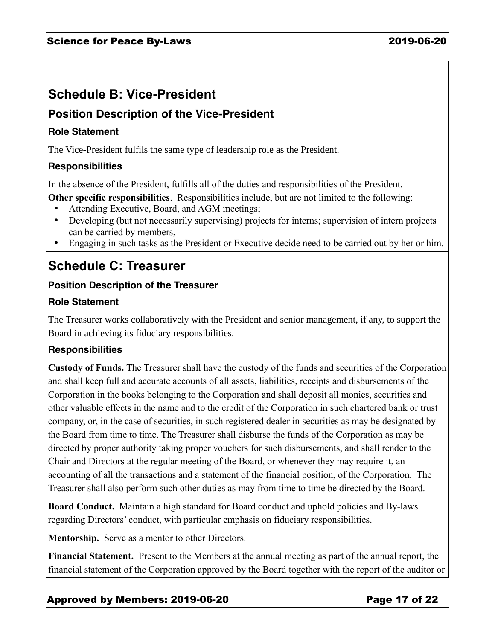# **Schedule B: Vice-President**

## **Position Description of the Vice-President**

#### **Role Statement**

The Vice-President fulfils the same type of leadership role as the President.

#### **Responsibilities**

In the absence of the President, fulfills all of the duties and responsibilities of the President.

**Other specific responsibilities**. Responsibilities include, but are not limited to the following:

- Attending Executive, Board, and AGM meetings;
- Developing (but not necessarily supervising) projects for interns; supervision of intern projects can be carried by members,
- Engaging in such tasks as the President or Executive decide need to be carried out by her or him.

# **Schedule C: Treasurer**

#### **Position Description of the Treasurer**

#### **Role Statement**

The Treasurer works collaboratively with the President and senior management, if any, to support the Board in achieving its fiduciary responsibilities.

### **Responsibilities**

**Custody of Funds.** The Treasurer shall have the custody of the funds and securities of the Corporation and shall keep full and accurate accounts of all assets, liabilities, receipts and disbursements of the Corporation in the books belonging to the Corporation and shall deposit all monies, securities and other valuable effects in the name and to the credit of the Corporation in such chartered bank or trust company, or, in the case of securities, in such registered dealer in securities as may be designated by the Board from time to time. The Treasurer shall disburse the funds of the Corporation as may be directed by proper authority taking proper vouchers for such disbursements, and shall render to the Chair and Directors at the regular meeting of the Board, or whenever they may require it, an accounting of all the transactions and a statement of the financial position, of the Corporation. The Treasurer shall also perform such other duties as may from time to time be directed by the Board.

**Board Conduct.** Maintain a high standard for Board conduct and uphold policies and By-laws regarding Directors' conduct, with particular emphasis on fiduciary responsibilities.

**Mentorship.** Serve as a mentor to other Directors.

**Financial Statement.** Present to the Members at the annual meeting as part of the annual report, the financial statement of the Corporation approved by the Board together with the report of the auditor or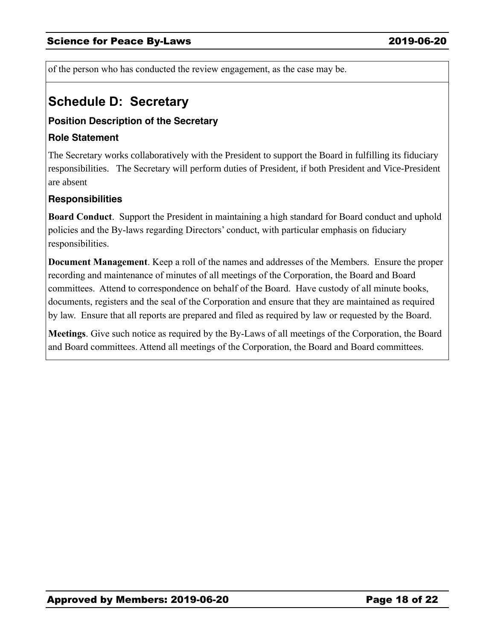of the person who has conducted the review engagement, as the case may be.

## **Schedule D: Secretary**

#### **Position Description of the Secretary**

#### **Role Statement**

The Secretary works collaboratively with the President to support the Board in fulfilling its fiduciary responsibilities. The Secretary will perform duties of President, if both President and Vice-President are absent

#### **Responsibilities**

**Board Conduct**. Support the President in maintaining a high standard for Board conduct and uphold policies and the By-laws regarding Directors' conduct, with particular emphasis on fiduciary responsibilities.

**Document Management**. Keep a roll of the names and addresses of the Members. Ensure the proper recording and maintenance of minutes of all meetings of the Corporation, the Board and Board committees. Attend to correspondence on behalf of the Board. Have custody of all minute books, documents, registers and the seal of the Corporation and ensure that they are maintained as required by law. Ensure that all reports are prepared and filed as required by law or requested by the Board.

**Meetings**. Give such notice as required by the By-Laws of all meetings of the Corporation, the Board and Board committees. Attend all meetings of the Corporation, the Board and Board committees.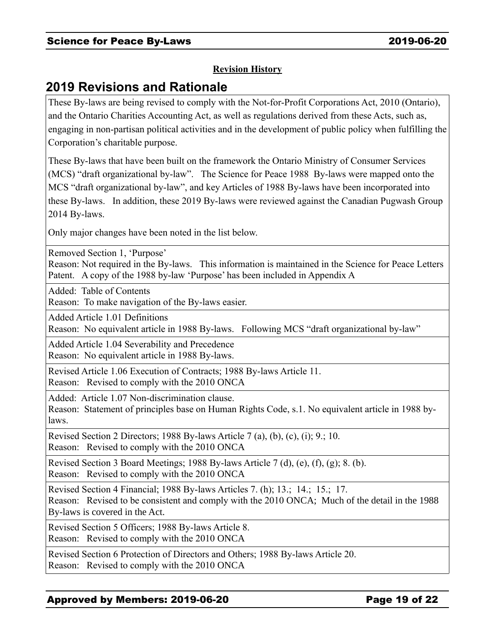#### **Revision History**

## **2019 Revisions and Rationale**

These By-laws are being revised to comply with the Not-for-Profit Corporations Act, 2010 (Ontario), and the Ontario Charities Accounting Act, as well as regulations derived from these Acts, such as, engaging in non-partisan political activities and in the development of public policy when fulfilling the Corporation's charitable purpose.

These By-laws that have been built on the framework the Ontario Ministry of Consumer Services (MCS) "draft organizational by-law". The Science for Peace 1988 By-laws were mapped onto the MCS "draft organizational by-law", and key Articles of 1988 By-laws have been incorporated into these By-laws. In addition, these 2019 By-laws were reviewed against the Canadian Pugwash Group 2014 By-laws.

Only major changes have been noted in the list below.

Removed Section 1, 'Purpose'

Reason: Not required in the By-laws. This information is maintained in the Science for Peace Letters Patent. A copy of the 1988 by-law 'Purpose' has been included in Appendix A

Added: Table of Contents

Reason: To make navigation of the By-laws easier.

Added Article 1.01 Definitions

Reason: No equivalent article in 1988 By-laws. Following MCS "draft organizational by-law"

Added Article 1.04 Severability and Precedence Reason: No equivalent article in 1988 By-laws.

Revised Article 1.06 Execution of Contracts; 1988 By-laws Article 11. Reason: Revised to comply with the 2010 ONCA

Added: Article 1.07 Non-discrimination clause.

Reason: Statement of principles base on Human Rights Code, s.1. No equivalent article in 1988 bylaws.

Revised Section 2 Directors; 1988 By-laws Article 7 (a), (b), (c), (i); 9.; 10. Reason: Revised to comply with the 2010 ONCA

Revised Section 3 Board Meetings; 1988 By-laws Article 7 (d), (e), (f), (g); 8. (b). Reason: Revised to comply with the 2010 ONCA

Revised Section 4 Financial; 1988 By-laws Articles 7. (h); 13.; 14.; 15.; 17. Reason: Revised to be consistent and comply with the 2010 ONCA; Much of the detail in the 1988 By-laws is covered in the Act.

Revised Section 5 Officers; 1988 By-laws Article 8. Reason: Revised to comply with the 2010 ONCA

Revised Section 6 Protection of Directors and Others; 1988 By-laws Article 20. Reason: Revised to comply with the 2010 ONCA

#### Approved by Members: 2019-06-20 Page 19 of 22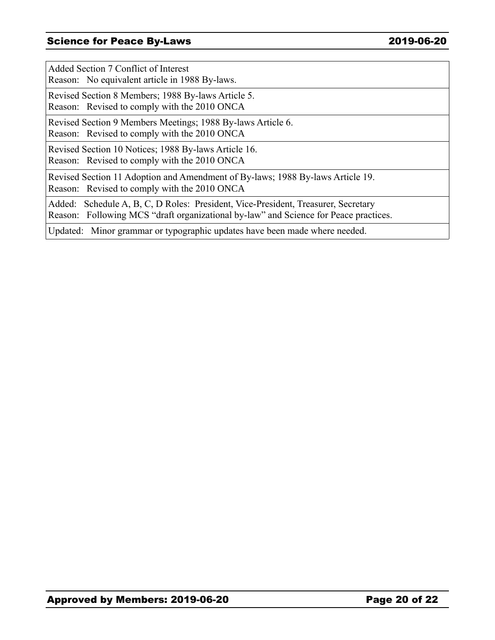#### Science for Peace By-Laws 2019-06-20

Added Section 7 Conflict of Interest Reason: No equivalent article in 1988 By-laws.

Revised Section 8 Members; 1988 By-laws Article 5.

Reason: Revised to comply with the 2010 ONCA

Revised Section 9 Members Meetings; 1988 By-laws Article 6.

Reason: Revised to comply with the 2010 ONCA

Revised Section 10 Notices; 1988 By-laws Article 16. Reason: Revised to comply with the 2010 ONCA

Revised Section 11 Adoption and Amendment of By-laws; 1988 By-laws Article 19. Reason: Revised to comply with the 2010 ONCA

Added: Schedule A, B, C, D Roles: President, Vice-President, Treasurer, Secretary Reason: Following MCS "draft organizational by-law" and Science for Peace practices.

Updated: Minor grammar or typographic updates have been made where needed.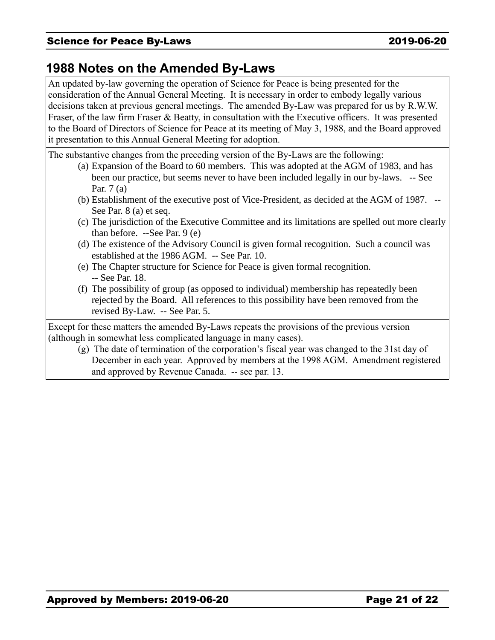## **1988 Notes on the Amended By-Laws**

An updated by-law governing the operation of Science for Peace is being presented for the consideration of the Annual General Meeting. It is necessary in order to embody legally various decisions taken at previous general meetings. The amended By-Law was prepared for us by R.W.W. Fraser, of the law firm Fraser & Beatty, in consultation with the Executive officers. It was presented to the Board of Directors of Science for Peace at its meeting of May 3, 1988, and the Board approved it presentation to this Annual General Meeting for adoption.

The substantive changes from the preceding version of the By-Laws are the following:

- (a) Expansion of the Board to 60 members. This was adopted at the AGM of 1983, and has been our practice, but seems never to have been included legally in our by-laws. -- See Par. 7 (a)
- (b) Establishment of the executive post of Vice-President, as decided at the AGM of 1987. -- See Par. 8 (a) et seq.
- (c) The jurisdiction of the Executive Committee and its limitations are spelled out more clearly than before. --See Par. 9 (e)
- (d) The existence of the Advisory Council is given formal recognition. Such a council was established at the 1986 AGM. -- See Par. 10.
- (e) The Chapter structure for Science for Peace is given formal recognition. -- See Par. 18.
- (f) The possibility of group (as opposed to individual) membership has repeatedly been rejected by the Board. All references to this possibility have been removed from the revised By-Law. -- See Par. 5.

Except for these matters the amended By-Laws repeats the provisions of the previous version (although in somewhat less complicated language in many cases).

(g) The date of termination of the corporation's fiscal year was changed to the 31st day of December in each year. Approved by members at the 1998 AGM. Amendment registered and approved by Revenue Canada. -- see par. 13.